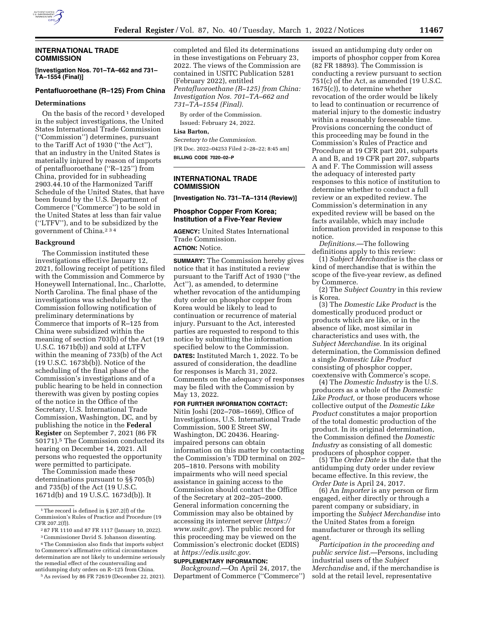

### **INTERNATIONAL TRADE COMMISSION**

**[Investigation Nos. 701–TA–662 and 731– TA–1554 (Final)]** 

# **Pentafluoroethane (R–125) From China**

## **Determinations**

On the basis of the record  $\frac{1}{1}$  developed in the subject investigations, the United States International Trade Commission (''Commission'') determines, pursuant to the Tariff Act of 1930 (''the Act''), that an industry in the United States is materially injured by reason of imports of pentafluoroethane (''R–125'') from China, provided for in subheading 2903.44.10 of the Harmonized Tariff Schedule of the United States, that have been found by the U.S. Department of Commerce (''Commerce'') to be sold in the United States at less than fair value (''LTFV''), and to be subsidized by the government of China.234

#### **Background**

The Commission instituted these investigations effective January 12, 2021, following receipt of petitions filed with the Commission and Commerce by Honeywell International, Inc., Charlotte, North Carolina. The final phase of the investigations was scheduled by the Commission following notification of preliminary determinations by Commerce that imports of R–125 from China were subsidized within the meaning of section 703(b) of the Act (19 U.S.C. 1671b(b)) and sold at LTFV within the meaning of 733(b) of the Act (19 U.S.C. 1673b(b)). Notice of the scheduling of the final phase of the Commission's investigations and of a public hearing to be held in connection therewith was given by posting copies of the notice in the Office of the Secretary, U.S. International Trade Commission, Washington, DC, and by publishing the notice in the **Federal Register** on September 7, 2021 (86 FR 50171).5 The Commission conducted its hearing on December 14, 2021. All persons who requested the opportunity were permitted to participate.

The Commission made these determinations pursuant to §§ 705(b) and 735(b) of the Act (19 U.S.C. 1671d(b) and 19 U.S.C. 1673d(b)). It

5As revised by 86 FR 72619 (December 22, 2021).

completed and filed its determinations in these investigations on February 23, 2022. The views of the Commission are contained in USITC Publication 5281 (February 2022), entitled *Pentafluoroethane (R–125) from China: Investigation Nos. 701–TA–662 and 731–TA–1554 (Final).* 

By order of the Commission. Issued: February 24, 2022.

## **Lisa Barton,**

*Secretary to the Commission.*  [FR Doc. 2022–04253 Filed 2–28–22; 8:45 am] **BILLING CODE 7020–02–P** 

## **INTERNATIONAL TRADE COMMISSION**

**[Investigation No. 731–TA–1314 (Review)]** 

### **Phosphor Copper From Korea; Institution of a Five-Year Review**

**AGENCY:** United States International Trade Commission. **ACTION:** Notice.

**SUMMARY:** The Commission hereby gives notice that it has instituted a review pursuant to the Tariff Act of 1930 (''the Act''), as amended, to determine whether revocation of the antidumping duty order on phosphor copper from Korea would be likely to lead to continuation or recurrence of material injury. Pursuant to the Act, interested parties are requested to respond to this notice by submitting the information specified below to the Commission. **DATES:** Instituted March 1, 2022. To be assured of consideration, the deadline for responses is March 31, 2022. Comments on the adequacy of responses may be filed with the Commission by May 13, 2022.

**FOR FURTHER INFORMATION CONTACT:**  Nitin Joshi (202–708–1669), Office of Investigations, U.S. International Trade Commission, 500 E Street SW, Washington, DC 20436. Hearingimpaired persons can obtain information on this matter by contacting the Commission's TDD terminal on 202– 205–1810. Persons with mobility impairments who will need special assistance in gaining access to the Commission should contact the Office of the Secretary at 202–205–2000. General information concerning the Commission may also be obtained by accessing its internet server (*https:// www.usitc.gov*). The public record for this proceeding may be viewed on the Commission's electronic docket (EDIS) at *https://edis.usitc.gov.* 

#### **SUPPLEMENTARY INFORMATION:**

*Background.*—On April 24, 2017, the Department of Commerce (''Commerce'')

issued an antidumping duty order on imports of phosphor copper from Korea (82 FR 18893). The Commission is conducting a review pursuant to section 751(c) of the Act, as amended (19 U.S.C. 1675(c)), to determine whether revocation of the order would be likely to lead to continuation or recurrence of material injury to the domestic industry within a reasonably foreseeable time. Provisions concerning the conduct of this proceeding may be found in the Commission's Rules of Practice and Procedure at 19 CFR part 201, subparts A and B, and 19 CFR part 207, subparts A and F. The Commission will assess the adequacy of interested party responses to this notice of institution to determine whether to conduct a full review or an expedited review. The Commission's determination in any expedited review will be based on the facts available, which may include information provided in response to this notice.

*Definitions.*—The following definitions apply to this review:

(1) *Subject Merchandise* is the class or kind of merchandise that is within the scope of the five-year review, as defined by Commerce.

(2) The *Subject Country* in this review is Korea.

(3) The *Domestic Like Product* is the domestically produced product or products which are like, or in the absence of like, most similar in characteristics and uses with, the *Subject Merchandise.* In its original determination, the Commission defined a single *Domestic Like Product*  consisting of phosphor copper, coextensive with Commerce's scope.

(4) The *Domestic Industry* is the U.S. producers as a whole of the *Domestic Like Product,* or those producers whose collective output of the *Domestic Like Product* constitutes a major proportion of the total domestic production of the product. In its original determination, the Commission defined the *Domestic Industry* as consisting of all domestic producers of phosphor copper.

(5) The *Order Date* is the date that the antidumping duty order under review became effective. In this review, the *Order Date* is April 24, 2017.

(6) An *Importer* is any person or firm engaged, either directly or through a parent company or subsidiary, in importing the *Subject Merchandise* into the United States from a foreign manufacturer or through its selling agent.

*Participation in the proceeding and public service list.*—Persons, including industrial users of the *Subject Merchandise* and, if the merchandise is sold at the retail level, representative

<sup>1</sup>The record is defined in § 207.2(f) of the Commission's Rules of Practice and Procedure (19 CFR 207.2(f)).

<sup>2</sup> 87 FR 1110 and 87 FR 1117 (January 10, 2022).

<sup>3</sup>Commissioner David S. Johanson dissenting. 4The Commission also finds that imports subject

to Commerce's affirmative critical circumstances determination are not likely to undermine seriously the remedial effect of the countervailing and antidumping duty orders on R–125 from China.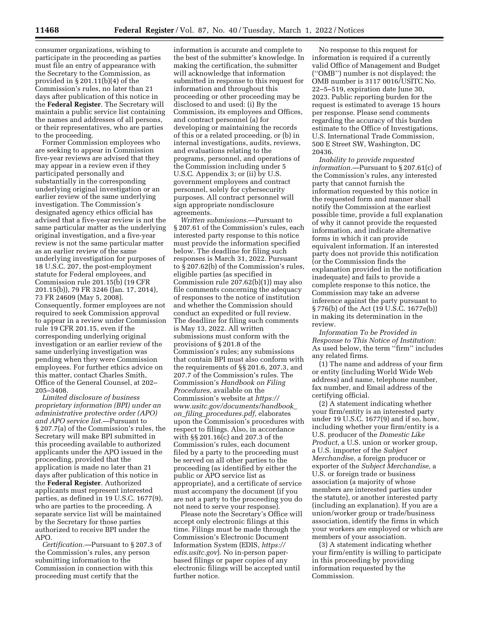consumer organizations, wishing to participate in the proceeding as parties must file an entry of appearance with the Secretary to the Commission, as provided in § 201.11(b)(4) of the Commission's rules, no later than 21 days after publication of this notice in the **Federal Register**. The Secretary will maintain a public service list containing the names and addresses of all persons, or their representatives, who are parties to the proceeding.

Former Commission employees who are seeking to appear in Commission five-year reviews are advised that they may appear in a review even if they participated personally and substantially in the corresponding underlying original investigation or an earlier review of the same underlying investigation. The Commission's designated agency ethics official has advised that a five-year review is not the same particular matter as the underlying original investigation, and a five-year review is not the same particular matter as an earlier review of the same underlying investigation for purposes of 18 U.S.C. 207, the post-employment statute for Federal employees, and Commission rule 201.15(b) (19 CFR 201.15(b)), 79 FR 3246 (Jan. 17, 2014), 73 FR 24609 (May 5, 2008). Consequently, former employees are not required to seek Commission approval to appear in a review under Commission rule 19 CFR 201.15, even if the corresponding underlying original investigation or an earlier review of the same underlying investigation was pending when they were Commission employees. For further ethics advice on this matter, contact Charles Smith, Office of the General Counsel, at 202– 205–3408.

*Limited disclosure of business proprietary information (BPI) under an administrative protective order (APO) and APO service list.*—Pursuant to § 207.7(a) of the Commission's rules, the Secretary will make BPI submitted in this proceeding available to authorized applicants under the APO issued in the proceeding, provided that the application is made no later than 21 days after publication of this notice in the **Federal Register**. Authorized applicants must represent interested parties, as defined in 19 U.S.C. 1677(9), who are parties to the proceeding. A separate service list will be maintained by the Secretary for those parties authorized to receive BPI under the APO.

*Certification.*—Pursuant to § 207.3 of the Commission's rules, any person submitting information to the Commission in connection with this proceeding must certify that the

information is accurate and complete to the best of the submitter's knowledge. In making the certification, the submitter will acknowledge that information submitted in response to this request for information and throughout this proceeding or other proceeding may be disclosed to and used: (i) By the Commission, its employees and Offices, and contract personnel (a) for developing or maintaining the records of this or a related proceeding, or (b) in internal investigations, audits, reviews, and evaluations relating to the programs, personnel, and operations of the Commission including under 5 U.S.C. Appendix 3; or (ii) by U.S. government employees and contract personnel, solely for cybersecurity purposes. All contract personnel will sign appropriate nondisclosure agreements.

*Written submissions.*—Pursuant to § 207.61 of the Commission's rules, each interested party response to this notice must provide the information specified below. The deadline for filing such responses is March 31, 2022. Pursuant to § 207.62(b) of the Commission's rules, eligible parties (as specified in Commission rule 207.62(b)(1)) may also file comments concerning the adequacy of responses to the notice of institution and whether the Commission should conduct an expedited or full review. The deadline for filing such comments is May 13, 2022. All written submissions must conform with the provisions of § 201.8 of the Commission's rules; any submissions that contain BPI must also conform with the requirements of §§ 201.6, 207.3, and 207.7 of the Commission's rules. The Commission's *Handbook on Filing Procedures,* available on the Commission's website at *https:// www.usitc.gov/documents/handbook*\_ *on*\_*filing*\_*procedures.pdf,* elaborates upon the Commission's procedures with respect to filings. Also, in accordance with §§ 201.16(c) and 207.3 of the Commission's rules, each document filed by a party to the proceeding must be served on all other parties to the proceeding (as identified by either the public or APO service list as appropriate), and a certificate of service must accompany the document (if you are not a party to the proceeding you do not need to serve your response).

Please note the Secretary's Office will accept only electronic filings at this time. Filings must be made through the Commission's Electronic Document Information System (EDIS, *https:// edis.usitc.gov*). No in-person paperbased filings or paper copies of any electronic filings will be accepted until further notice.

No response to this request for information is required if a currently valid Office of Management and Budget (''OMB'') number is not displayed; the OMB number is 3117 0016/USITC No. 22–5–519, expiration date June 30, 2023. Public reporting burden for the request is estimated to average 15 hours per response. Please send comments regarding the accuracy of this burden estimate to the Office of Investigations, U.S. International Trade Commission, 500 E Street SW, Washington, DC 20436.

*Inability to provide requested information.*—Pursuant to § 207.61(c) of the Commission's rules, any interested party that cannot furnish the information requested by this notice in the requested form and manner shall notify the Commission at the earliest possible time, provide a full explanation of why it cannot provide the requested information, and indicate alternative forms in which it can provide equivalent information. If an interested party does not provide this notification (or the Commission finds the explanation provided in the notification inadequate) and fails to provide a complete response to this notice, the Commission may take an adverse inference against the party pursuant to § 776(b) of the Act (19 U.S.C. 1677e(b)) in making its determination in the review.

*Information To be Provided in Response to This Notice of Institution:*  As used below, the term ''firm'' includes any related firms.

(1) The name and address of your firm or entity (including World Wide Web address) and name, telephone number, fax number, and Email address of the certifying official.

(2) A statement indicating whether your firm/entity is an interested party under 19 U.S.C. 1677(9) and if so, how, including whether your firm/entity is a U.S. producer of the *Domestic Like Product,* a U.S. union or worker group, a U.S. importer of the *Subject Merchandi*se, a foreign producer or exporter of the *Subject Merchandise,* a U.S. or foreign trade or business association (a majority of whose members are interested parties under the statute), or another interested party (including an explanation). If you are a union/worker group or trade/business association, identify the firms in which your workers are employed or which are members of your association.

(3) A statement indicating whether your firm/entity is willing to participate in this proceeding by providing information requested by the Commission.